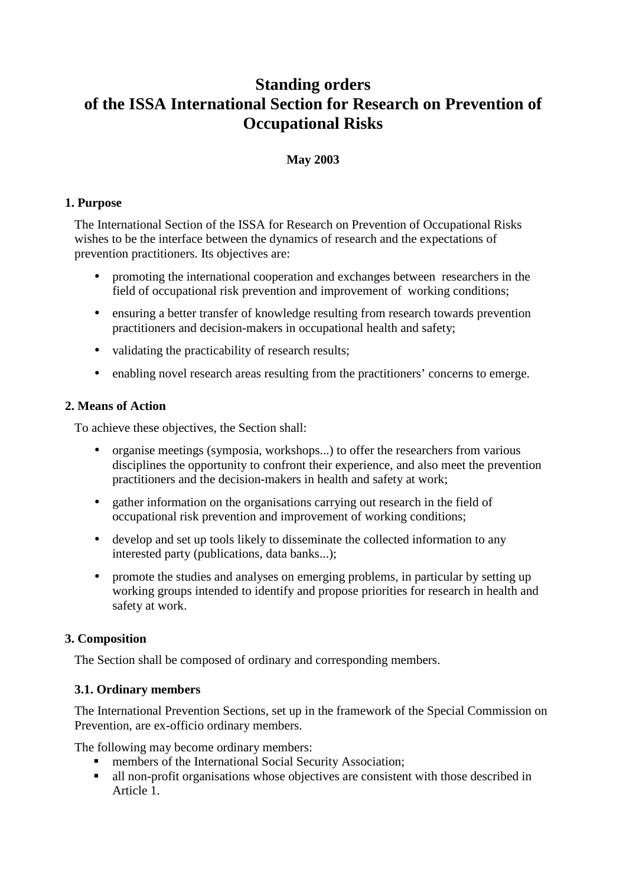# **Standing orders of the ISSA International Section for Research on Prevention of Occupational Risks**

## **May 2003**

### **1. Purpose**

The International Section of the ISSA for Research on Prevention of Occupational Risks wishes to be the interface between the dynamics of research and the expectations of prevention practitioners. Its objectives are:

- promoting the international cooperation and exchanges between researchers in the field of occupational risk prevention and improvement of working conditions;
- ensuring a better transfer of knowledge resulting from research towards prevention practitioners and decision-makers in occupational health and safety;
- validating the practicability of research results;
- enabling novel research areas resulting from the practitioners' concerns to emerge.

## **2. Means of Action**

To achieve these objectives, the Section shall:

- organise meetings (symposia, workshops...) to offer the researchers from various disciplines the opportunity to confront their experience, and also meet the prevention practitioners and the decision-makers in health and safety at work;
- gather information on the organisations carrying out research in the field of occupational risk prevention and improvement of working conditions;
- develop and set up tools likely to disseminate the collected information to any interested party (publications, data banks...);
- promote the studies and analyses on emerging problems, in particular by setting up working groups intended to identify and propose priorities for research in health and safety at work.

# **3. Composition**

The Section shall be composed of ordinary and corresponding members.

#### **3.1. Ordinary members**

The International Prevention Sections, set up in the framework of the Special Commission on Prevention, are ex-officio ordinary members.

The following may become ordinary members:

- **F** members of the International Social Security Association;
- all non-profit organisations whose objectives are consistent with those described in Article 1.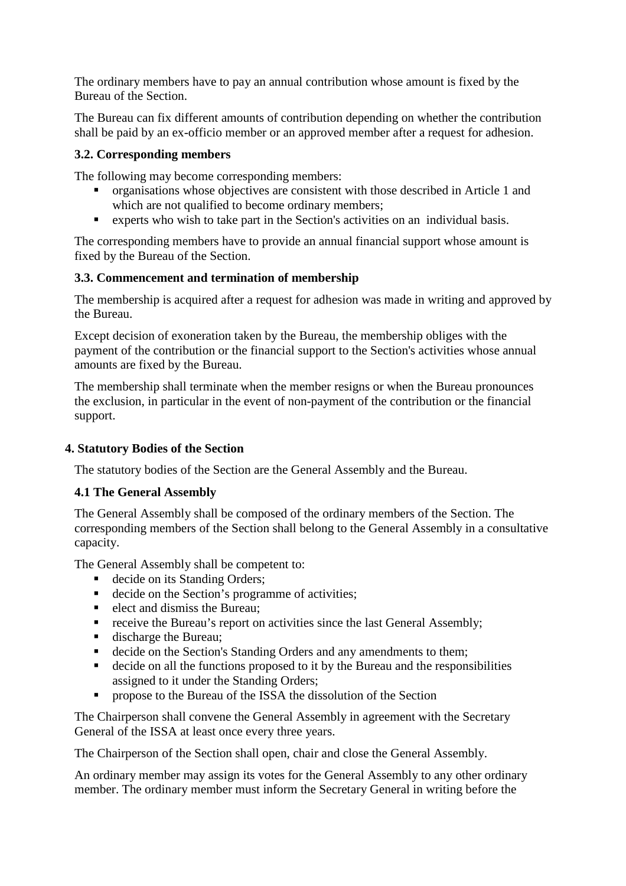The ordinary members have to pay an annual contribution whose amount is fixed by the Bureau of the Section.

The Bureau can fix different amounts of contribution depending on whether the contribution shall be paid by an ex-officio member or an approved member after a request for adhesion.

#### **3.2. Corresponding members**

The following may become corresponding members:

- organisations whose objectives are consistent with those described in Article 1 and which are not qualified to become ordinary members;
- experts who wish to take part in the Section's activities on an individual basis.

The corresponding members have to provide an annual financial support whose amount is fixed by the Bureau of the Section.

#### **3.3. Commencement and termination of membership**

The membership is acquired after a request for adhesion was made in writing and approved by the Bureau.

Except decision of exoneration taken by the Bureau, the membership obliges with the payment of the contribution or the financial support to the Section's activities whose annual amounts are fixed by the Bureau.

The membership shall terminate when the member resigns or when the Bureau pronounces the exclusion, in particular in the event of non-payment of the contribution or the financial support.

#### **4. Statutory Bodies of the Section**

The statutory bodies of the Section are the General Assembly and the Bureau.

#### **4.1 The General Assembly**

The General Assembly shall be composed of the ordinary members of the Section. The corresponding members of the Section shall belong to the General Assembly in a consultative capacity.

The General Assembly shall be competent to:

- decide on its Standing Orders;
- decide on the Section's programme of activities;
- $\blacksquare$  elect and dismiss the Bureau:
- **receive the Bureau's report on activities since the last General Assembly;**
- discharge the Bureau;
- decide on the Section's Standing Orders and any amendments to them:
- decide on all the functions proposed to it by the Bureau and the responsibilities assigned to it under the Standing Orders;
- **PEDECIST:** propose to the Bureau of the ISSA the dissolution of the Section

The Chairperson shall convene the General Assembly in agreement with the Secretary General of the ISSA at least once every three years.

The Chairperson of the Section shall open, chair and close the General Assembly.

An ordinary member may assign its votes for the General Assembly to any other ordinary member. The ordinary member must inform the Secretary General in writing before the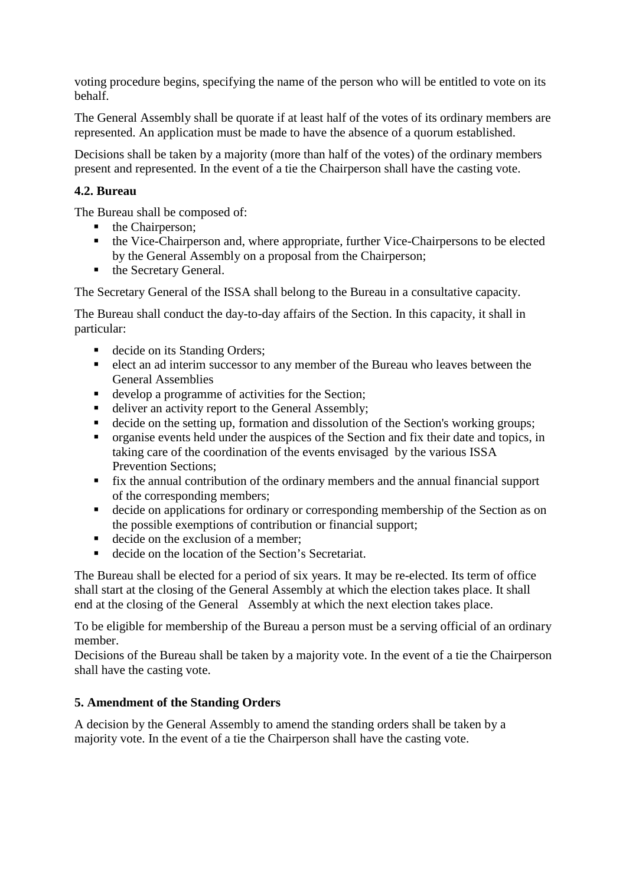voting procedure begins, specifying the name of the person who will be entitled to vote on its behalf.

The General Assembly shall be quorate if at least half of the votes of its ordinary members are represented. An application must be made to have the absence of a quorum established.

Decisions shall be taken by a majority (more than half of the votes) of the ordinary members present and represented. In the event of a tie the Chairperson shall have the casting vote.

## **4.2. Bureau**

The Bureau shall be composed of:

- $\blacksquare$  the Chairperson:
- the Vice-Chairperson and, where appropriate, further Vice-Chairpersons to be elected by the General Assembly on a proposal from the Chairperson;
- the Secretary General.

The Secretary General of the ISSA shall belong to the Bureau in a consultative capacity.

The Bureau shall conduct the day-to-day affairs of the Section. In this capacity, it shall in particular:

- decide on its Standing Orders;
- elect an ad interim successor to any member of the Bureau who leaves between the General Assemblies
- develop a programme of activities for the Section;
- deliver an activity report to the General Assembly;
- decide on the setting up, formation and dissolution of the Section's working groups;
- organise events held under the auspices of the Section and fix their date and topics, in taking care of the coordination of the events envisaged by the various ISSA Prevention Sections;
- fix the annual contribution of the ordinary members and the annual financial support of the corresponding members;
- decide on applications for ordinary or corresponding membership of the Section as on the possible exemptions of contribution or financial support;
- decide on the exclusion of a member;
- decide on the location of the Section's Secretariat.

The Bureau shall be elected for a period of six years. It may be re-elected. Its term of office shall start at the closing of the General Assembly at which the election takes place. It shall end at the closing of the General Assembly at which the next election takes place.

To be eligible for membership of the Bureau a person must be a serving official of an ordinary member.

Decisions of the Bureau shall be taken by a majority vote. In the event of a tie the Chairperson shall have the casting vote.

# **5. Amendment of the Standing Orders**

A decision by the General Assembly to amend the standing orders shall be taken by a majority vote. In the event of a tie the Chairperson shall have the casting vote.